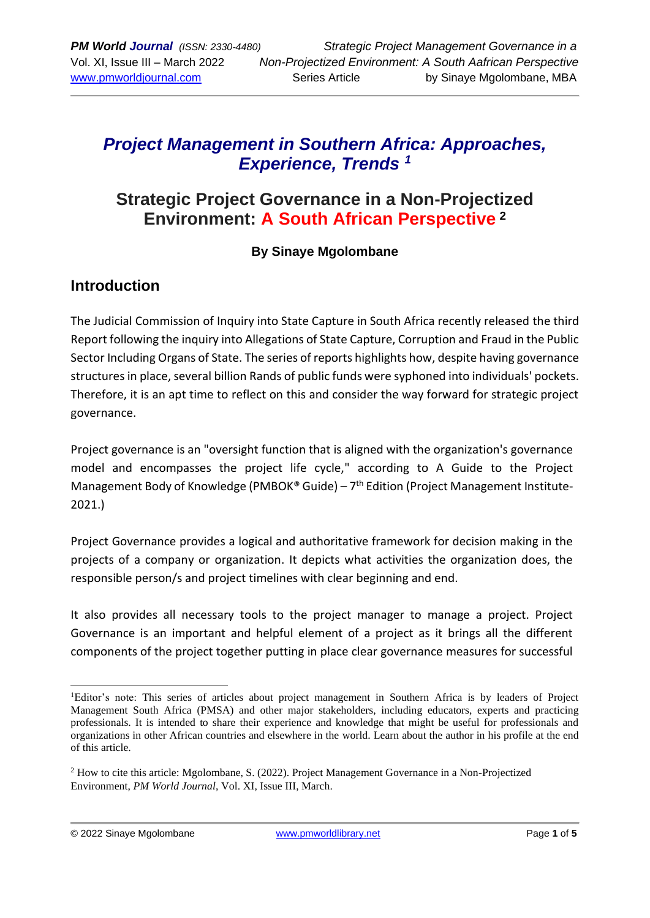# *Project Management in Southern Africa: Approaches, Experience, Trends <sup>1</sup>*

# **Strategic Project Governance in a Non-Projectized Environment: A South African Perspective <sup>2</sup>**

#### **By Sinaye Mgolombane**

#### **Introduction**

The Judicial Commission of Inquiry into State Capture in South Africa recently released the third Report following the inquiry into Allegations of State Capture, Corruption and Fraud in the Public Sector Including Organs of State. The series of reports highlights how, despite having governance structures in place, several billion Rands of public funds were syphoned into individuals' pockets. Therefore, it is an apt time to reflect on this and consider the way forward for strategic project governance.

Project governance is an "oversight function that is aligned with the organization's governance model and encompasses the project life cycle," according to A Guide to the Project Management Body of Knowledge (PMBOK® Guide) - 7<sup>th</sup> Edition (Project Management Institute-2021.)

Project Governance provides a logical and authoritative framework for decision making in the projects of a company or organization. It depicts what activities the organization does, the responsible person/s and project timelines with clear beginning and end.

It also provides all necessary tools to the project manager to manage a project. Project Governance is an important and helpful element of a project as it brings all the different components of the project together putting in place clear governance measures for successful

<sup>1</sup>Editor's note: This series of articles about project management in Southern Africa is by leaders of Project Management South Africa (PMSA) and other major stakeholders, including educators, experts and practicing professionals. It is intended to share their experience and knowledge that might be useful for professionals and organizations in other African countries and elsewhere in the world. Learn about the author in his profile at the end of this article.

<sup>2</sup> How to cite this article: Mgolombane, S. (2022). Project Management Governance in a Non-Projectized Environment, *PM World Journal*, Vol. XI, Issue III, March.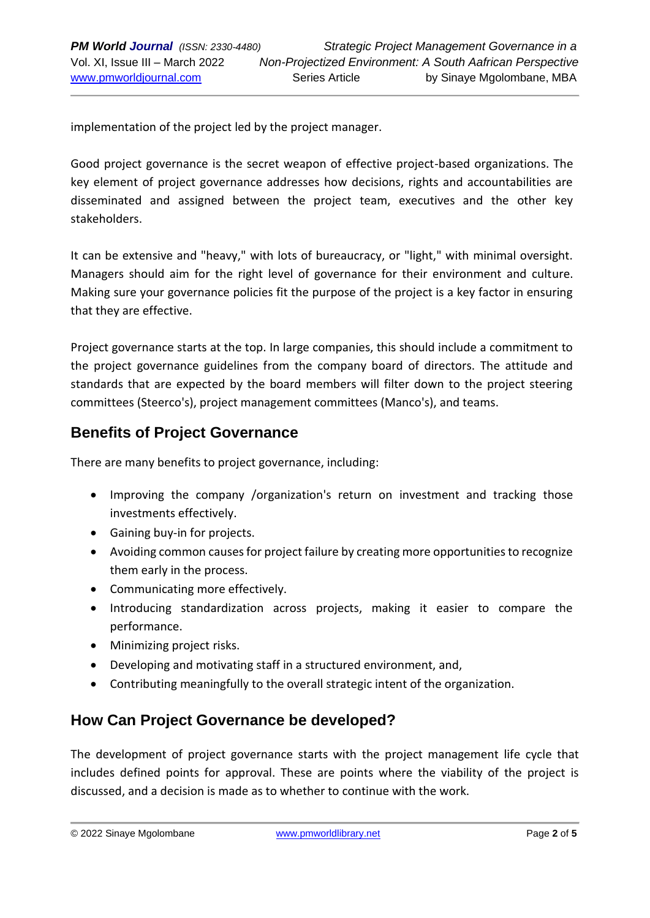implementation of the project led by the project manager.

Good project governance is the secret weapon of effective project-based organizations. The key element of project governance addresses how decisions, rights and accountabilities are disseminated and assigned between the project team, executives and the other key stakeholders.

It can be extensive and "heavy," with lots of bureaucracy, or "light," with minimal oversight. Managers should aim for the right level of governance for their environment and culture. Making sure your governance policies fit the purpose of the project is a key factor in ensuring that they are effective.

Project governance starts at the top. In large companies, this should include a commitment to the project governance guidelines from the company board of directors. The attitude and standards that are expected by the board members will filter down to the project steering committees (Steerco's), project management committees (Manco's), and teams.

#### **Benefits of Project Governance**

There are many benefits to project governance, including:

- Improving the company /organization's return on investment and tracking those investments effectively.
- Gaining buy-in for projects.
- Avoiding common causes for project failure by creating more opportunities to recognize them early in the process.
- Communicating more effectively.
- Introducing standardization across projects, making it easier to compare the performance.
- Minimizing project risks.
- Developing and motivating staff in a structured environment, and,
- Contributing meaningfully to the overall strategic intent of the organization.

## **How Can Project Governance be developed?**

The development of project governance starts with the project management life cycle that includes defined points for approval. These are points where the viability of the project is discussed, and a decision is made as to whether to continue with the work.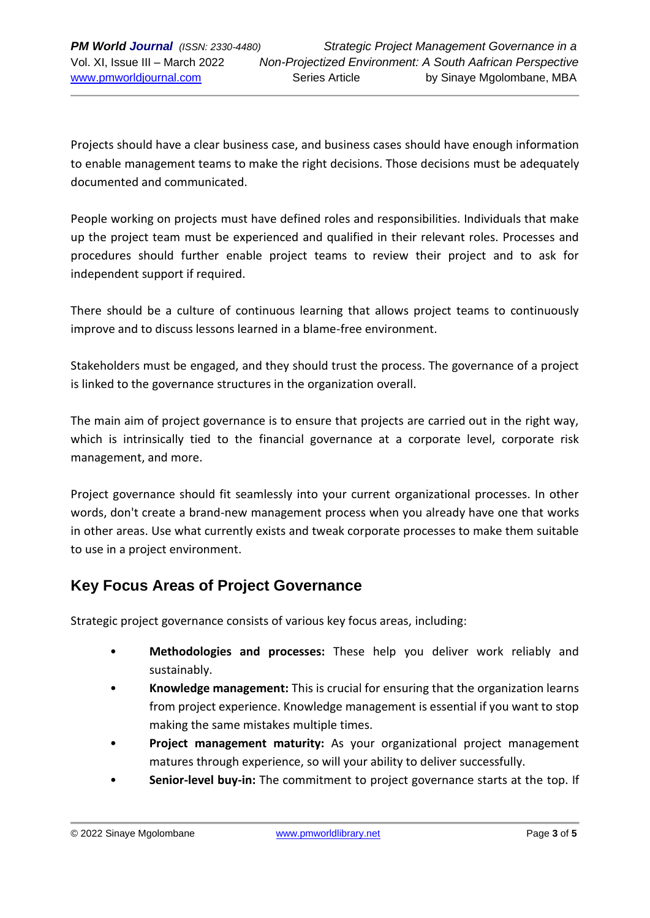Projects should have a clear business case, and business cases should have enough information to enable management teams to make the right decisions. Those decisions must be adequately documented and communicated.

People working on projects must have defined roles and responsibilities. Individuals that make up the project team must be experienced and qualified in their relevant roles. Processes and procedures should further enable project teams to review their project and to ask for independent support if required.

There should be a culture of continuous learning that allows project teams to continuously improve and to discuss lessons learned in a blame-free environment.

Stakeholders must be engaged, and they should trust the process. The governance of a project is linked to the governance structures in the organization overall.

The main aim of project governance is to ensure that projects are carried out in the right way, which is intrinsically tied to the financial governance at a corporate level, corporate risk management, and more.

Project governance should fit seamlessly into your current organizational processes. In other words, don't create a brand-new management process when you already have one that works in other areas. Use what currently exists and tweak corporate processes to make them suitable to use in a project environment.

## **Key Focus Areas of Project Governance**

Strategic project governance consists of various key focus areas, including:

- **Methodologies and processes:** These help you deliver work reliably and sustainably.
- **Knowledge management:** This is crucial for ensuring that the organization learns from project experience. Knowledge management is essential if you want to stop making the same mistakes multiple times.
- **Project management maturity:** As your organizational project management matures through experience, so will your ability to deliver successfully.
- **Senior-level buy-in:** The commitment to project governance starts at the top. If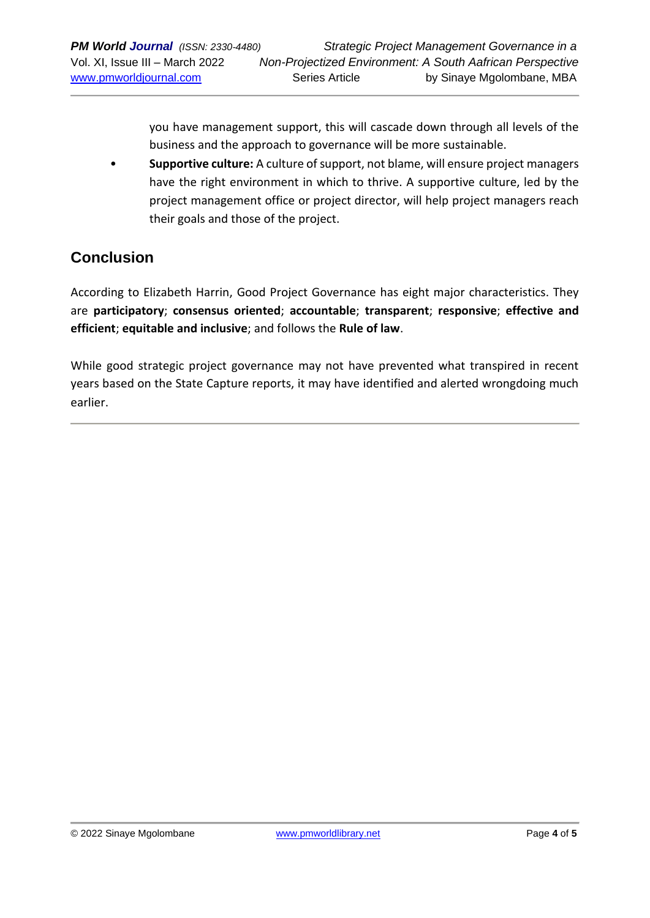you have management support, this will cascade down through all levels of the business and the approach to governance will be more sustainable.

• **Supportive culture:** A culture of support, not blame, will ensure project managers have the right environment in which to thrive. A supportive culture, led by the project management office or project director, will help project managers reach their goals and those of the project.

### **Conclusion**

According to Elizabeth Harrin, Good Project Governance has eight major characteristics. They are **participatory**; **consensus oriented**; **accountable**; **transparent**; **responsive**; **effective and efficient**; **equitable and inclusive**; and follows the **Rule of law**.

While good strategic project governance may not have prevented what transpired in recent years based on the State Capture reports, it may have identified and alerted wrongdoing much earlier.